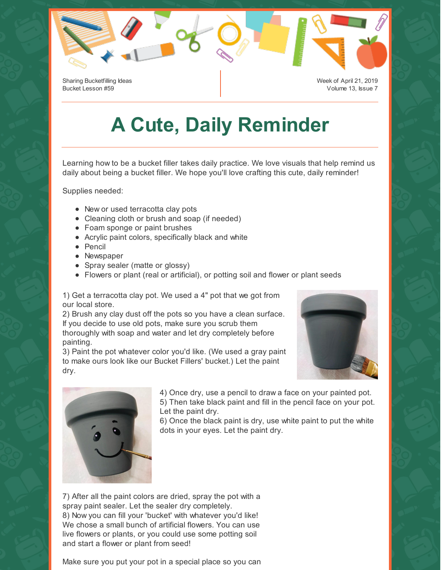Sharing Bucketfilling Ideas Bucket Lesson #59

Week of April 21, 2019 Volume 13, Issue 7

## **A Cute, Daily Reminder**

Learning how to be a bucket filler takes daily practice. We love visuals that help remind us daily about being a bucket filler. We hope you'll love crafting this cute, daily reminder!

Supplies needed:

- New or used terracotta clay pots
- Cleaning cloth or brush and soap (if needed)
- Foam sponge or paint brushes
- Acrylic paint colors, specifically black and white
- Pencil
- Newspaper
- Spray sealer (matte or glossy)
- Flowers or plant (real or artificial), or potting soil and flower or plant seeds

1) Get a terracotta clay pot. We used a 4" pot that we got from our local store.

2) Brush any clay dust off the pots so you have a clean surface. If you decide to use old pots, make sure you scrub them thoroughly with soap and water and let dry completely before painting.

3) Paint the pot whatever color you'd like. (We used a gray paint to make ours look like our Bucket Fillers' bucket.) Let the paint dry.





4) Once dry, use a pencil to draw a face on your painted pot. 5) Then take black paint and fill in the pencil face on your pot. Let the paint dry.

6) Once the black paint is dry, use white paint to put the white dots in your eyes. Let the paint dry.

7) After all the paint colors are dried, spray the pot with a spray paint sealer. Let the sealer dry completely. 8) Now you can fill your 'bucket' with whatever you'd like! We chose a small bunch of artificial flowers. You can use live flowers or plants, or you could use some potting soil and start a flower or plant from seed!

Make sure you put your pot in a special place so you can